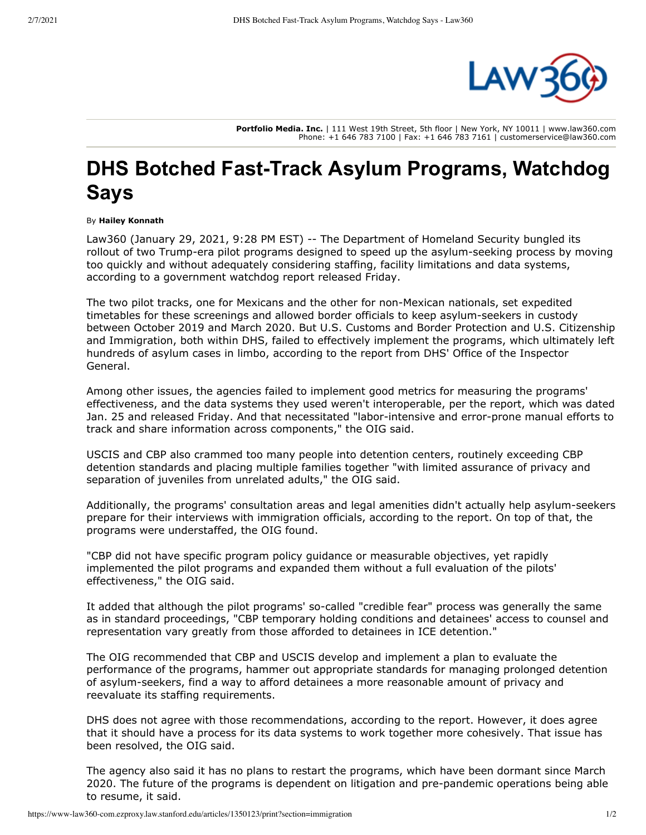

**Portfolio Media. Inc.** | 111 West 19th Street, 5th floor | New York, NY 10011 | www.law360.com Phone: +1 646 783 7100 | Fax: +1 646 783 7161 | customerservice@law360.com

## **DHS Botched Fast-Track Asylum Programs, Watchdog Says**

By **Hailey Konnath**

Law360 (January 29, 2021, 9:28 PM EST) -- The Department of Homeland Security bungled its rollout of two Trump-era pilot programs designed to speed up the asylum-seeking process by moving too quickly and without adequately considering staffing, facility limitations and data systems, according to a government watchdog report released Friday.

The two pilot tracks, one for Mexicans and the other for non-Mexican nationals, set expedited timetables for these screenings and allowed border officials to keep asylum-seekers in custody between October 2019 and March 2020. But U.S. Customs and Border Protection and U.S. Citizenship and Immigration, both within DHS, failed to effectively implement the programs, which ultimately left hundreds of asylum cases in limbo, according to the report from DHS' Office of the Inspector General.

Among other issues, the agencies failed to implement good metrics for measuring the programs' effectiveness, and the data systems they used weren't interoperable, per the report, which was dated Jan. 25 and released Friday. And that necessitated "labor-intensive and error-prone manual efforts to track and share information across components," the OIG said.

USCIS and CBP also crammed too many people into detention centers, routinely exceeding CBP detention standards and placing multiple families together "with limited assurance of privacy and separation of juveniles from unrelated adults," the OIG said.

Additionally, the programs' consultation areas and legal amenities didn't actually help asylum-seekers prepare for their interviews with immigration officials, according to the report. On top of that, the programs were understaffed, the OIG found.

"CBP did not have specific program policy guidance or measurable objectives, yet rapidly implemented the pilot programs and expanded them without a full evaluation of the pilots' effectiveness," the OIG said.

It added that although the pilot programs' so-called "credible fear" process was generally the same as in standard proceedings, "CBP temporary holding conditions and detainees' access to counsel and representation vary greatly from those afforded to detainees in ICE detention."

The OIG recommended that CBP and USCIS develop and implement a plan to evaluate the performance of the programs, hammer out appropriate standards for managing prolonged detention of asylum-seekers, find a way to afford detainees a more reasonable amount of privacy and reevaluate its staffing requirements.

DHS does not agree with those recommendations, according to the report. However, it does agree that it should have a process for its data systems to work together more cohesively. That issue has been resolved, the OIG said.

The agency also said it has no plans to restart the programs, which have been dormant since March 2020. The future of the programs is dependent on litigation and pre-pandemic operations being able to resume, it said.